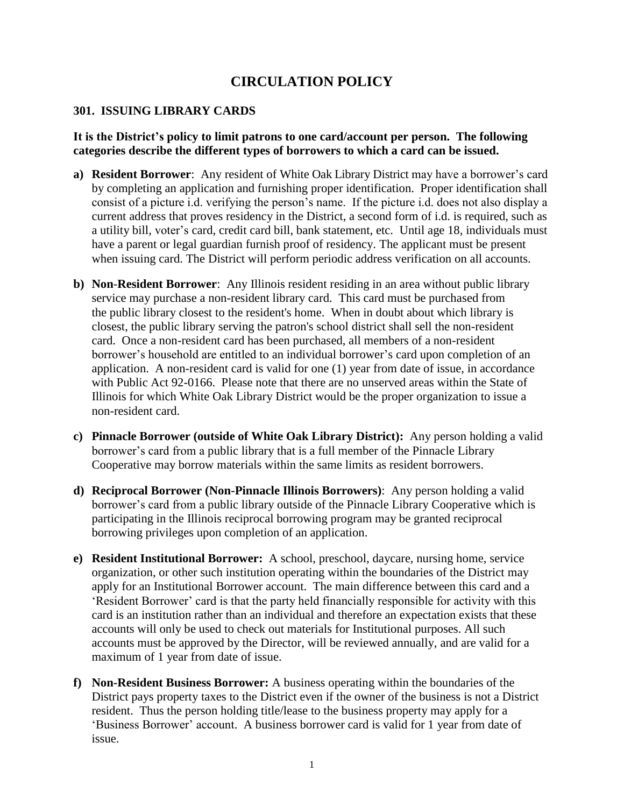# **CIRCULATION POLICY**

### **301. ISSUING LIBRARY CARDS**

### **It is the District's policy to limit patrons to one card/account per person. The following categories describe the different types of borrowers to which a card can be issued.**

- **a) Resident Borrower**: Any resident of White Oak Library District may have a borrower's card by completing an application and furnishing proper identification. Proper identification shall consist of a picture i.d. verifying the person's name. If the picture i.d. does not also display a current address that proves residency in the District, a second form of i.d. is required, such as a utility bill, voter's card, credit card bill, bank statement, etc. Until age 18, individuals must have a parent or legal guardian furnish proof of residency. The applicant must be present when issuing card. The District will perform periodic address verification on all accounts.
- **b) Non**-**Resident Borrower**: Any Illinois resident residing in an area without public library service may purchase a non-resident library card. This card must be purchased from the public library closest to the resident's home. When in doubt about which library is closest, the public library serving the patron's school district shall sell the non-resident card. Once a non-resident card has been purchased, all members of a non-resident borrower's household are entitled to an individual borrower's card upon completion of an application. A non-resident card is valid for one (1) year from date of issue, in accordance with Public Act 92-0166. Please note that there are no unserved areas within the State of Illinois for which White Oak Library District would be the proper organization to issue a non-resident card.
- **c) Pinnacle Borrower (outside of White Oak Library District):** Any person holding a valid borrower's card from a public library that is a full member of the Pinnacle Library Cooperative may borrow materials within the same limits as resident borrowers.
- **d) Reciprocal Borrower (Non-Pinnacle Illinois Borrowers)**: Any person holding a valid borrower's card from a public library outside of the Pinnacle Library Cooperative which is participating in the Illinois reciprocal borrowing program may be granted reciprocal borrowing privileges upon completion of an application.
- **e) Resident Institutional Borrower:** A school, preschool, daycare, nursing home, service organization, or other such institution operating within the boundaries of the District may apply for an Institutional Borrower account. The main difference between this card and a 'Resident Borrower' card is that the party held financially responsible for activity with this card is an institution rather than an individual and therefore an expectation exists that these accounts will only be used to check out materials for Institutional purposes. All such accounts must be approved by the Director, will be reviewed annually, and are valid for a maximum of 1 year from date of issue.
- **f) Non-Resident Business Borrower:** A business operating within the boundaries of the District pays property taxes to the District even if the owner of the business is not a District resident. Thus the person holding title/lease to the business property may apply for a 'Business Borrower' account. A business borrower card is valid for 1 year from date of issue.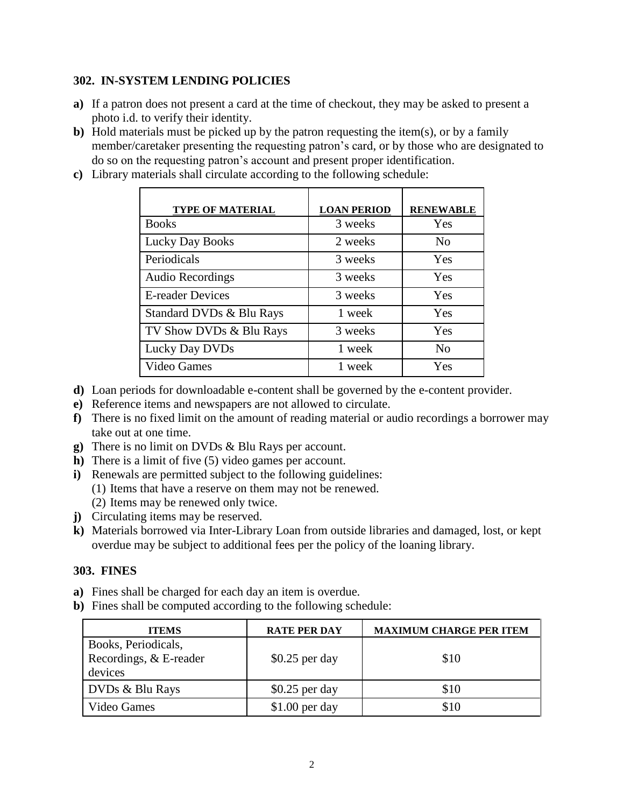## **302. IN-SYSTEM LENDING POLICIES**

- **a)** If a patron does not present a card at the time of checkout, they may be asked to present a photo i.d. to verify their identity.
- **b)** Hold materials must be picked up by the patron requesting the item(s), or by a family member/caretaker presenting the requesting patron's card, or by those who are designated to do so on the requesting patron's account and present proper identification.
- **c)** Library materials shall circulate according to the following schedule:

| <b>TYPE OF MATERIAL</b>  | <b>LOAN PERIOD</b> | <b>RENEWABLE</b> |
|--------------------------|--------------------|------------------|
| <b>Books</b>             | 3 weeks            | Yes              |
| <b>Lucky Day Books</b>   | 2 weeks            | N <sub>0</sub>   |
| Periodicals              | 3 weeks            | Yes              |
| <b>Audio Recordings</b>  | 3 weeks            | Yes              |
| <b>E-reader Devices</b>  | 3 weeks            | Yes              |
| Standard DVDs & Blu Rays | 1 week             | Yes              |
| TV Show DVDs & Blu Rays  | 3 weeks            | Yes              |
| Lucky Day DVDs           | 1 week             | N <sub>0</sub>   |
| Video Games              | 1 week             | Yes              |

- **d)** Loan periods for downloadable e-content shall be governed by the e-content provider.
- **e)** Reference items and newspapers are not allowed to circulate.
- **f)** There is no fixed limit on the amount of reading material or audio recordings a borrower may take out at one time.
- **g)** There is no limit on DVDs & Blu Rays per account.
- **h)** There is a limit of five (5) video games per account.
- **i)** Renewals are permitted subject to the following guidelines:
	- (1) Items that have a reserve on them may not be renewed.
	- (2) Items may be renewed only twice.
- **j**) Circulating items may be reserved.
- **k)** Materials borrowed via Inter-Library Loan from outside libraries and damaged, lost, or kept overdue may be subject to additional fees per the policy of the loaning library.

## **303. FINES**

- **a)** Fines shall be charged for each day an item is overdue.
- **b)** Fines shall be computed according to the following schedule:

| <b>ITEMS</b>                                             | <b>RATE PER DAY</b> | <b>MAXIMUM CHARGE PER ITEM</b> |
|----------------------------------------------------------|---------------------|--------------------------------|
| Books, Periodicals,<br>Recordings, & E-reader<br>devices | $$0.25$ per day     | \$10                           |
| DVDs & Blu Rays                                          | $$0.25$ per day     | \$10                           |
| Video Games                                              | $$1.00$ per day     | \$10                           |